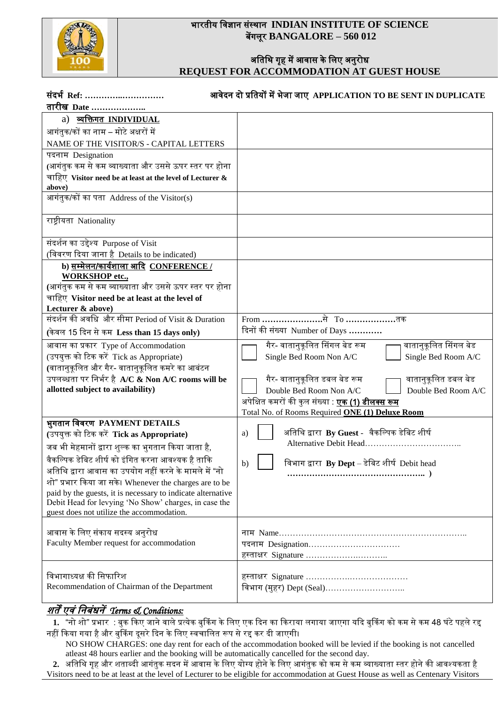

### भारतीय विज्ञान संस्थान **INDIAN INSTITUTE OF SCIENCE** बेंगलूर **BANGALORE – 560 012**

### अतिथि गृह में आवास के लिए अनुरोध **REQUEST FOR ACCOMMODATION AT GUEST HOUSE**

| संदर्भ Ref:<br>तारीख Date                                           | आवेदन दो प्रतियों में भेजा जाए APPLICATION TO BE SENT IN DUPLICATE |
|---------------------------------------------------------------------|--------------------------------------------------------------------|
| a) व्यक्तिगत INDIVIDUAL                                             |                                                                    |
| आगंतुक/कों का नाम – मोटे अक्षरों में                                |                                                                    |
|                                                                     |                                                                    |
| NAME OF THE VISITOR/S - CAPITAL LETTERS                             |                                                                    |
| पदनाम Designation                                                   |                                                                    |
| (आगंतुक कम से कम व्याख्याता और उससे ऊपर स्तर पर होना                |                                                                    |
| चाहिए Visitor need be at least at the level of Lecturer &<br>above) |                                                                    |
| आगंतुक/कों का पता Address of the Visitor(s)                         |                                                                    |
|                                                                     |                                                                    |
| राष्ट्रीयता Nationality                                             |                                                                    |
| संदर्शन का उद्देश्य Purpose of Visit                                |                                                                    |
| (विवरण दिया जाना है Details to be indicated)                        |                                                                    |
| b) सम्मेलन/कार्यशाला आदि CONFERENCE /<br><b>WORKSHOP</b> etc.,      |                                                                    |
| (आगंतुक कम से कम व्याख्याता और उससे ऊपर स्तर पर होना                |                                                                    |
| चाहिए Visitor need be at least at the level of                      |                                                                    |
| Lecturer & above)                                                   |                                                                    |
| संदर्शन की अवधि और सीमा Period of Visit & Duration                  | From ………………………से To ……………………तक                                     |
| (केवल 15 दिन से कम Less than 15 days only)                          | दिनों की संख्या Number of Days                                     |
| आवास का प्रकार Type of Accommodation                                | वातानुकूलित सिंगल बेड<br>गैर- वातानुकूलित सिंगल बेड रूम            |
| (उपयुक्त को टिक करें Tick as Appropriate)                           | Single Bed Room A/C<br>Single Bed Room Non A/C                     |
| (वातानुकूलित और गैर- वातानुकूलित कमरे का आबंटन                      |                                                                    |
| उपलब्धता पर निर्भर है A/C & Non A/C rooms will be                   | गैर- वातानुकूलित डबल बेड रूम<br>वातानुकूलित डबल बेड                |
| allotted subject to availability)                                   | Double Bed Room Non A/C<br>Double Bed Room A/C                     |
|                                                                     | अपेक्षित कमरों की कुल संख्या : <b>एक (1) डीलक्स रूम</b>            |
|                                                                     | Total No. of Rooms Required ONE (1) Deluxe Room                    |
| भुगतान विवरण PAYMENT DETAILS                                        |                                                                    |
| (उपयुक्त को टिक करें Tick as Appropriate)                           | अतिथि द्वारा By Guest -  वैकल्पिक डेबिट शीर्ष<br>a)                |
| जब भी मेहमानों द्वारा शुल्क का भुगतान किया जाता है,                 |                                                                    |
| वैकल्पिक डेबिट शीर्ष को इंगित करना आवश्यक है ताकि                   | विभाग द्वारा $By$ Dept – डेबिट शीर्ष Debit head<br>b)              |
| अतिथि द्वारा आवास का उपयोग नहीं करने के मामले में "नो               |                                                                    |
| शो" प्रभार किया जा सके। Whenever the charges are to be              |                                                                    |
| paid by the guests, it is necessary to indicate alternative         |                                                                    |
| Debit Head for levying 'No Show' charges, in case the               |                                                                    |
| guest does not utilize the accommodation.                           |                                                                    |
| आवास के लिए संकाय सदस्य अनुरोध                                      |                                                                    |
| Faculty Member request for accommodation                            | पदनाम Designation                                                  |
|                                                                     | हस्ताक्षर Signature                                                |
|                                                                     |                                                                    |
| विभागाध्यक्ष की सिफारिश                                             |                                                                    |
| Recommendation of Chairman of the Department                        | विभाग (मुहर) Dept (Seal)                                           |
|                                                                     |                                                                    |

## र्तें एिं वनबंधनें*Terms & Conditions:*

1. *"*नो शो" प्रभार : बुक किए जाने वाले प्रत्येक बुकिंग के लिए एक दिन का किराया लगाया जाएगा यदि बुकिंग को कम से कम 48 घंटे पहले रद्द नहीं किया गया है और बुकिंग दूसरे दिन के लिए स्वचालित रूप से रद्द कर दी जाएगी।

 NO SHOW CHARGES: one day rent for each of the accommodation booked will be levied if the booking is not cancelled atleast 48 hours earlier and the booking will be automatically cancelled for the second day.

.<br>2. अतिथि गृह और शताब्दी आगंतुक सदन में आवास के लिए योग्य होने के लिए आगंतुक को कम से कम व्याख्याता स्तर होने की आवश्यकता है Visitors need to be at least at the level of Lecturer to be eligible for accommodation at Guest House as well as Centenary Visitors